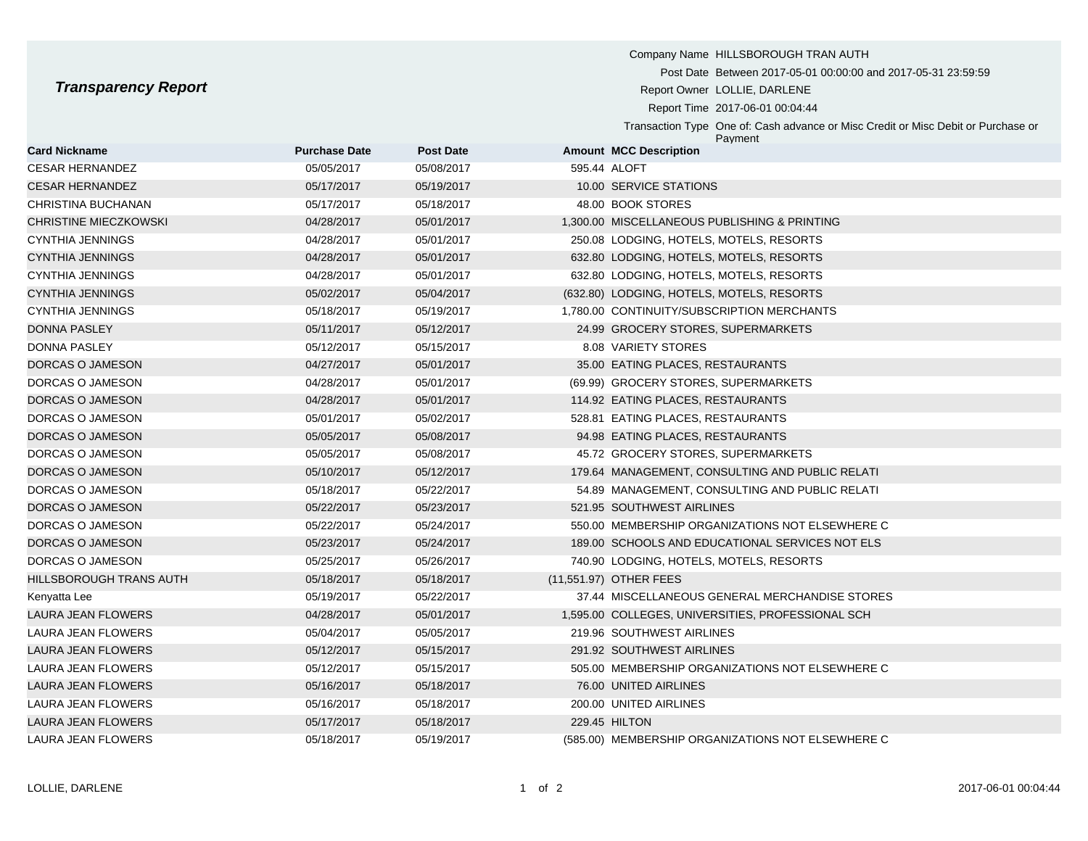Company Name HILLSBOROUGH TRAN AUTH Post Date Between 2017-05-01 00:00:00 and 2017-05-31 23:59:59 **Transparency Report Report Report Report Report Owner LOLLIE, DARLENE** Report Time 2017-06-01 00:04:44 Transaction Type One of: Cash advance or Misc Credit or Misc Debit or Purchase or Payment **Card Nickname Purchase Date Post Date Amount MCC Description** CESAR HERNANDEZ 05/05/2017 05/08/2017 595.44 ALOFT

| <b>CESAR HERNANDEZ</b>       | 05/17/2017 | 05/19/2017 | 10.00 SERVICE STATIONS                            |
|------------------------------|------------|------------|---------------------------------------------------|
| CHRISTINA BUCHANAN           | 05/17/2017 | 05/18/2017 | 48.00 BOOK STORES                                 |
| <b>CHRISTINE MIECZKOWSKI</b> | 04/28/2017 | 05/01/2017 | 1,300.00 MISCELLANEOUS PUBLISHING & PRINTING      |
| <b>CYNTHIA JENNINGS</b>      | 04/28/2017 | 05/01/2017 | 250.08 LODGING, HOTELS, MOTELS, RESORTS           |
| <b>CYNTHIA JENNINGS</b>      | 04/28/2017 | 05/01/2017 | 632.80 LODGING, HOTELS, MOTELS, RESORTS           |
| <b>CYNTHIA JENNINGS</b>      | 04/28/2017 | 05/01/2017 | 632.80 LODGING, HOTELS, MOTELS, RESORTS           |
| <b>CYNTHIA JENNINGS</b>      | 05/02/2017 | 05/04/2017 | (632.80) LODGING, HOTELS, MOTELS, RESORTS         |
| <b>CYNTHIA JENNINGS</b>      | 05/18/2017 | 05/19/2017 | 1,780.00 CONTINUITY/SUBSCRIPTION MERCHANTS        |
| <b>DONNA PASLEY</b>          | 05/11/2017 | 05/12/2017 | 24.99 GROCERY STORES, SUPERMARKETS                |
| <b>DONNA PASLEY</b>          | 05/12/2017 | 05/15/2017 | 8.08 VARIETY STORES                               |
| DORCAS O JAMESON             | 04/27/2017 | 05/01/2017 | 35.00 EATING PLACES, RESTAURANTS                  |
| DORCAS O JAMESON             | 04/28/2017 | 05/01/2017 | (69.99) GROCERY STORES, SUPERMARKETS              |
| DORCAS O JAMESON             | 04/28/2017 | 05/01/2017 | 114.92 EATING PLACES, RESTAURANTS                 |
| DORCAS O JAMESON             | 05/01/2017 | 05/02/2017 | 528.81 EATING PLACES, RESTAURANTS                 |
| DORCAS O JAMESON             | 05/05/2017 | 05/08/2017 | 94.98 EATING PLACES, RESTAURANTS                  |
| DORCAS O JAMESON             | 05/05/2017 | 05/08/2017 | 45.72 GROCERY STORES, SUPERMARKETS                |
| DORCAS O JAMESON             | 05/10/2017 | 05/12/2017 | 179.64 MANAGEMENT, CONSULTING AND PUBLIC RELATI   |
| DORCAS O JAMESON             | 05/18/2017 | 05/22/2017 | 54.89 MANAGEMENT, CONSULTING AND PUBLIC RELATI    |
| DORCAS O JAMESON             | 05/22/2017 | 05/23/2017 | 521.95 SOUTHWEST AIRLINES                         |
| DORCAS O JAMESON             | 05/22/2017 | 05/24/2017 | 550.00 MEMBERSHIP ORGANIZATIONS NOT ELSEWHERE C   |
| DORCAS O JAMESON             | 05/23/2017 | 05/24/2017 | 189.00 SCHOOLS AND EDUCATIONAL SERVICES NOT ELS   |
| DORCAS O JAMESON             | 05/25/2017 | 05/26/2017 | 740.90 LODGING, HOTELS, MOTELS, RESORTS           |
| HILLSBOROUGH TRANS AUTH      | 05/18/2017 | 05/18/2017 | (11,551.97) OTHER FEES                            |
| Kenyatta Lee                 | 05/19/2017 | 05/22/2017 | 37.44 MISCELLANEOUS GENERAL MERCHANDISE STORES    |
| LAURA JEAN FLOWERS           | 04/28/2017 | 05/01/2017 | 1,595.00 COLLEGES, UNIVERSITIES, PROFESSIONAL SCH |
| LAURA JEAN FLOWERS           | 05/04/2017 | 05/05/2017 | 219.96 SOUTHWEST AIRLINES                         |
| LAURA JEAN FLOWERS           | 05/12/2017 | 05/15/2017 | 291.92 SOUTHWEST AIRLINES                         |
| LAURA JEAN FLOWERS           | 05/12/2017 | 05/15/2017 | 505.00 MEMBERSHIP ORGANIZATIONS NOT ELSEWHERE C   |
| LAURA JEAN FLOWERS           | 05/16/2017 | 05/18/2017 | 76.00 UNITED AIRLINES                             |
| LAURA JEAN FLOWERS           | 05/16/2017 | 05/18/2017 | 200.00 UNITED AIRLINES                            |
| LAURA JEAN FLOWERS           | 05/17/2017 | 05/18/2017 | 229.45 HILTON                                     |
| LAURA JEAN FLOWERS           | 05/18/2017 | 05/19/2017 | (585.00) MEMBERSHIP ORGANIZATIONS NOT ELSEWHERE C |